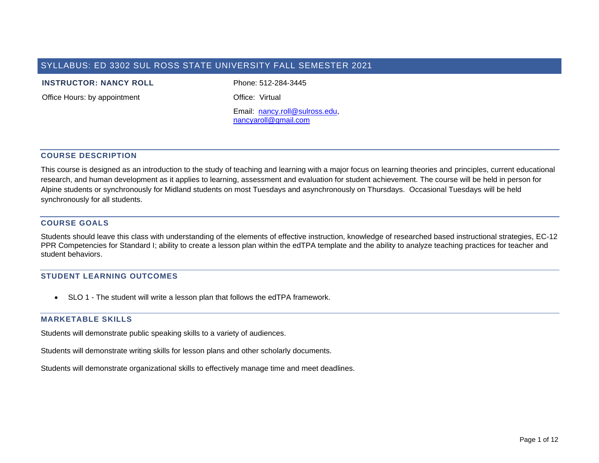# SYLLABUS: ED 3302 SUL ROSS STATE UNIVERSITY FALL SEMESTER 2021

#### **INSTRUCTOR: NANCY ROLL** Phone: 512-284-3445

Office Hours: by appointment **Office:** Virtual

Email: [nancy.roll@sulross.edu,](mailto:nancy.roll@sulross.edu) [nancyaroll@gmail.com](mailto:nancyaroll@gmail.com)

### **COURSE DESCRIPTION**

This course is designed as an introduction to the study of teaching and learning with a major focus on learning theories and principles, current educational research, and human development as it applies to learning, assessment and evaluation for student achievement. The course will be held in person for Alpine students or synchronously for Midland students on most Tuesdays and asynchronously on Thursdays. Occasional Tuesdays will be held synchronously for all students.

### **COURSE GOALS**

Students should leave this class with understanding of the elements of effective instruction, knowledge of researched based instructional strategies, EC-12 PPR Competencies for Standard I; ability to create a lesson plan within the edTPA template and the ability to analyze teaching practices for teacher and student behaviors.

### **STUDENT LEARNING OUTCOMES**

• SLO 1 - The student will write a lesson plan that follows the edTPA framework.

### **MARKETABLE SKILLS**

Students will demonstrate public speaking skills to a variety of audiences.

Students will demonstrate writing skills for lesson plans and other scholarly documents.

Students will demonstrate organizational skills to effectively manage time and meet deadlines.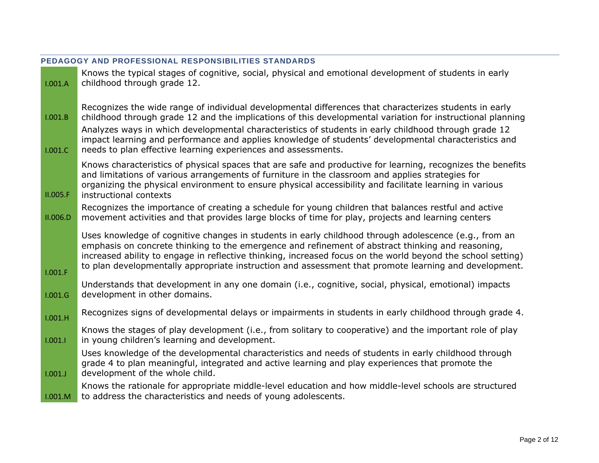| 1.001.A  | Knows the typical stages of cognitive, social, physical and emotional development of students in early<br>childhood through grade 12.                                                                                                                                                                                                                                                                                              |
|----------|------------------------------------------------------------------------------------------------------------------------------------------------------------------------------------------------------------------------------------------------------------------------------------------------------------------------------------------------------------------------------------------------------------------------------------|
| 1.001.B  | Recognizes the wide range of individual developmental differences that characterizes students in early<br>childhood through grade 12 and the implications of this developmental variation for instructional planning                                                                                                                                                                                                               |
| 1.001.C  | Analyzes ways in which developmental characteristics of students in early childhood through grade 12<br>impact learning and performance and applies knowledge of students' developmental characteristics and<br>needs to plan effective learning experiences and assessments.                                                                                                                                                      |
| II.005.F | Knows characteristics of physical spaces that are safe and productive for learning, recognizes the benefits<br>and limitations of various arrangements of furniture in the classroom and applies strategies for<br>organizing the physical environment to ensure physical accessibility and facilitate learning in various<br>instructional contexts                                                                               |
| II.006.D | Recognizes the importance of creating a schedule for young children that balances restful and active<br>movement activities and that provides large blocks of time for play, projects and learning centers                                                                                                                                                                                                                         |
| 1.001.F  | Uses knowledge of cognitive changes in students in early childhood through adolescence (e.g., from an<br>emphasis on concrete thinking to the emergence and refinement of abstract thinking and reasoning,<br>increased ability to engage in reflective thinking, increased focus on the world beyond the school setting)<br>to plan developmentally appropriate instruction and assessment that promote learning and development. |
| 1.001.G  | Understands that development in any one domain (i.e., cognitive, social, physical, emotional) impacts<br>development in other domains.                                                                                                                                                                                                                                                                                             |
| 1.001.H  | Recognizes signs of developmental delays or impairments in students in early childhood through grade 4.                                                                                                                                                                                                                                                                                                                            |
| 1.001.1  | Knows the stages of play development (i.e., from solitary to cooperative) and the important role of play<br>in young children's learning and development.                                                                                                                                                                                                                                                                          |
| 1.001.J  | Uses knowledge of the developmental characteristics and needs of students in early childhood through<br>grade 4 to plan meaningful, integrated and active learning and play experiences that promote the<br>development of the whole child.                                                                                                                                                                                        |
| 1.001.M  | Knows the rationale for appropriate middle-level education and how middle-level schools are structured<br>to address the characteristics and needs of young adolescents.                                                                                                                                                                                                                                                           |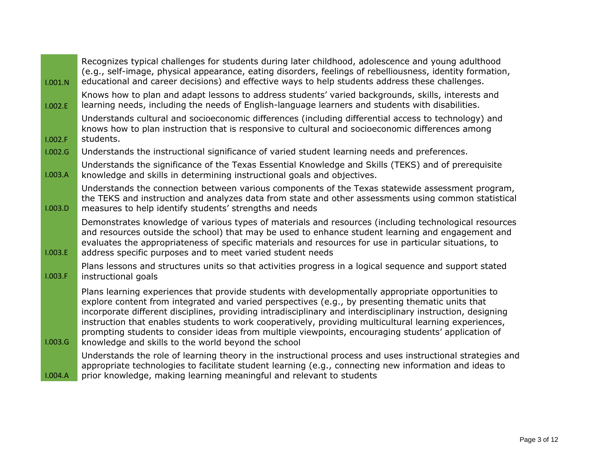| 1.001.N | Recognizes typical challenges for students during later childhood, adolescence and young adulthood<br>(e.g., self-image, physical appearance, eating disorders, feelings of rebelliousness, identity formation,<br>educational and career decisions) and effective ways to help students address these challenges.                                                                                                                                                                                                                                                                            |
|---------|-----------------------------------------------------------------------------------------------------------------------------------------------------------------------------------------------------------------------------------------------------------------------------------------------------------------------------------------------------------------------------------------------------------------------------------------------------------------------------------------------------------------------------------------------------------------------------------------------|
| 1.002.E | Knows how to plan and adapt lessons to address students' varied backgrounds, skills, interests and<br>learning needs, including the needs of English-language learners and students with disabilities.                                                                                                                                                                                                                                                                                                                                                                                        |
| 1.002.F | Understands cultural and socioeconomic differences (including differential access to technology) and<br>knows how to plan instruction that is responsive to cultural and socioeconomic differences among<br>students.                                                                                                                                                                                                                                                                                                                                                                         |
| 1.002.G | Understands the instructional significance of varied student learning needs and preferences.                                                                                                                                                                                                                                                                                                                                                                                                                                                                                                  |
| 1.003.A | Understands the significance of the Texas Essential Knowledge and Skills (TEKS) and of prerequisite<br>knowledge and skills in determining instructional goals and objectives.                                                                                                                                                                                                                                                                                                                                                                                                                |
| 1.003.D | Understands the connection between various components of the Texas statewide assessment program,<br>the TEKS and instruction and analyzes data from state and other assessments using common statistical<br>measures to help identify students' strengths and needs                                                                                                                                                                                                                                                                                                                           |
| 1.003.E | Demonstrates knowledge of various types of materials and resources (including technological resources<br>and resources outside the school) that may be used to enhance student learning and engagement and<br>evaluates the appropriateness of specific materials and resources for use in particular situations, to<br>address specific purposes and to meet varied student needs                                                                                                                                                                                                            |
| 1.003.F | Plans lessons and structures units so that activities progress in a logical sequence and support stated<br>instructional goals                                                                                                                                                                                                                                                                                                                                                                                                                                                                |
| 1.003.G | Plans learning experiences that provide students with developmentally appropriate opportunities to<br>explore content from integrated and varied perspectives (e.g., by presenting thematic units that<br>incorporate different disciplines, providing intradisciplinary and interdisciplinary instruction, designing<br>instruction that enables students to work cooperatively, providing multicultural learning experiences,<br>prompting students to consider ideas from multiple viewpoints, encouraging students' application of<br>knowledge and skills to the world beyond the school |
| 1.004.A | Understands the role of learning theory in the instructional process and uses instructional strategies and<br>appropriate technologies to facilitate student learning (e.g., connecting new information and ideas to<br>prior knowledge, making learning meaningful and relevant to students                                                                                                                                                                                                                                                                                                  |

÷.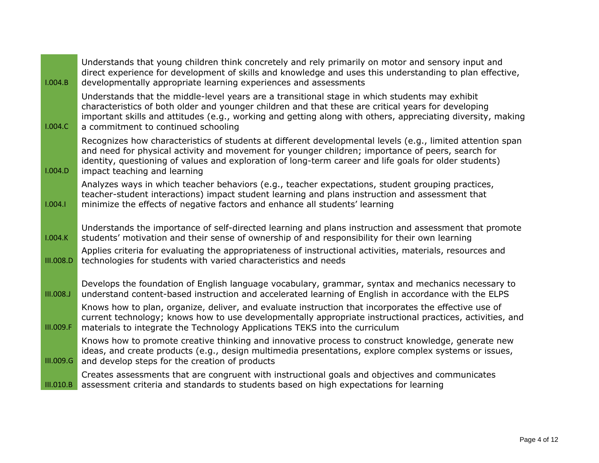| 1.004.B          | Understands that young children think concretely and rely primarily on motor and sensory input and<br>direct experience for development of skills and knowledge and uses this understanding to plan effective,<br>developmentally appropriate learning experiences and assessments                                                                          |
|------------------|-------------------------------------------------------------------------------------------------------------------------------------------------------------------------------------------------------------------------------------------------------------------------------------------------------------------------------------------------------------|
| 1.004.C          | Understands that the middle-level years are a transitional stage in which students may exhibit<br>characteristics of both older and younger children and that these are critical years for developing<br>important skills and attitudes (e.g., working and getting along with others, appreciating diversity, making<br>a commitment to continued schooling |
| 1.004.D          | Recognizes how characteristics of students at different developmental levels (e.g., limited attention span<br>and need for physical activity and movement for younger children; importance of peers, search for<br>identity, questioning of values and exploration of long-term career and life goals for older students)<br>impact teaching and learning   |
| 1.004.1          | Analyzes ways in which teacher behaviors (e.g., teacher expectations, student grouping practices,<br>teacher-student interactions) impact student learning and plans instruction and assessment that<br>minimize the effects of negative factors and enhance all students' learning                                                                         |
| 1.004.K          | Understands the importance of self-directed learning and plans instruction and assessment that promote<br>students' motivation and their sense of ownership of and responsibility for their own learning                                                                                                                                                    |
| III.008.D        | Applies criteria for evaluating the appropriateness of instructional activities, materials, resources and<br>technologies for students with varied characteristics and needs                                                                                                                                                                                |
| <b>III.008.J</b> | Develops the foundation of English language vocabulary, grammar, syntax and mechanics necessary to<br>understand content-based instruction and accelerated learning of English in accordance with the ELPS                                                                                                                                                  |
| III.009.F        | Knows how to plan, organize, deliver, and evaluate instruction that incorporates the effective use of<br>current technology; knows how to use developmentally appropriate instructional practices, activities, and<br>materials to integrate the Technology Applications TEKS into the curriculum                                                           |
| III.009.G        | Knows how to promote creative thinking and innovative process to construct knowledge, generate new<br>ideas, and create products (e.g., design multimedia presentations, explore complex systems or issues,<br>and develop steps for the creation of products                                                                                               |
| III.010.B        | Creates assessments that are congruent with instructional goals and objectives and communicates<br>assessment criteria and standards to students based on high expectations for learning                                                                                                                                                                    |

L.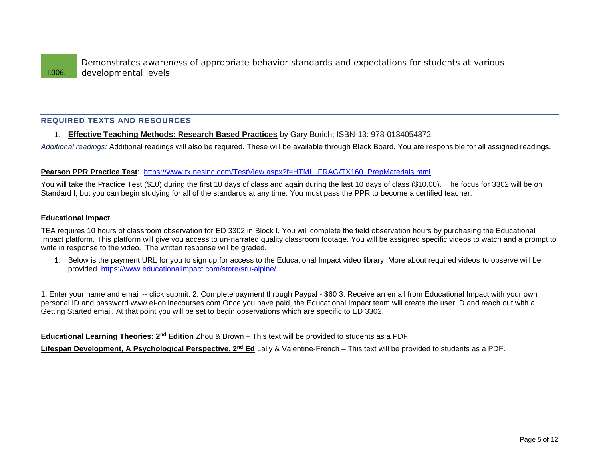## **REQUIRED TEXTS AND RESOURCES**

### 1. **Effective Teaching Methods: Research Based Practices** by Gary Borich; ISBN-13: 978-0134054872

*Additional readings:* Additional readings will also be required. These will be available through Black Board. You are responsible for all assigned readings.

### **Pearson PPR Practice Test**: [https://www.tx.nesinc.com/TestView.aspx?f=HTML\\_FRAG/TX160\\_PrepMaterials.html](https://www.tx.nesinc.com/TestView.aspx?f=HTML_FRAG/TX160_PrepMaterials.html)

You will take the Practice Test (\$10) during the first 10 days of class and again during the last 10 days of class (\$10.00). The focus for 3302 will be on Standard I, but you can begin studying for all of the standards at any time. You must pass the PPR to become a certified teacher.

### **Educational Impact**

TEA requires 10 hours of classroom observation for ED 3302 in Block I. You will complete the field observation hours by purchasing the Educational Impact platform. This platform will give you access to un-narrated quality classroom footage. You will be assigned specific videos to watch and a prompt to write in response to the video. The written response will be graded.

1. Below is the payment URL for you to sign up for access to the Educational Impact video library. More about required videos to observe will be provided.<https://www.educationalimpact.com/store/sru-alpine/>

1. Enter your name and email -- click submit. 2. Complete payment through Paypal - \$60 3. Receive an email from Educational Impact with your own personal ID and password www.ei-onlinecourses.com Once you have paid, the Educational Impact team will create the user ID and reach out with a Getting Started email. At that point you will be set to begin observations which are specific to ED 3302.

**Educational Learning Theories: 2nd Edition** Zhou & Brown – This text will be provided to students as a PDF.

**Lifespan Development, A Psychological Perspective, 2nd Ed** Lally & Valentine-French – This text will be provided to students as a PDF.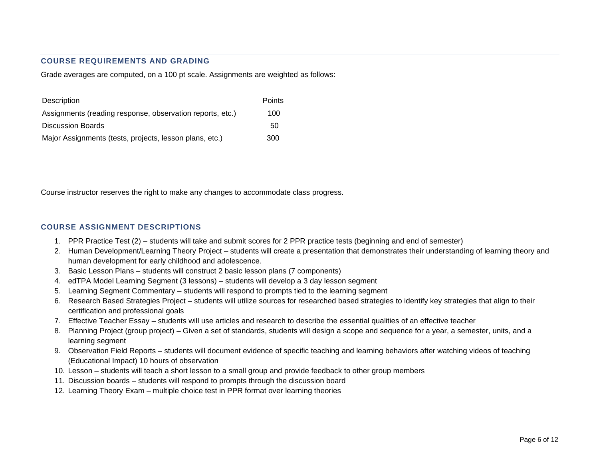### **COURSE REQUIREMENTS AND GRADING**

Grade averages are computed, on a 100 pt scale. Assignments are weighted as follows:

| Description                                               | Points |
|-----------------------------------------------------------|--------|
| Assignments (reading response, observation reports, etc.) | 100    |
| <b>Discussion Boards</b>                                  | 50     |
| Major Assignments (tests, projects, lesson plans, etc.)   | 300    |

Course instructor reserves the right to make any changes to accommodate class progress.

### **COURSE ASSIGNMENT DESCRIPTIONS**

- 1. PPR Practice Test (2) students will take and submit scores for 2 PPR practice tests (beginning and end of semester)
- 2. Human Development/Learning Theory Project students will create a presentation that demonstrates their understanding of learning theory and human development for early childhood and adolescence.
- 3. Basic Lesson Plans students will construct 2 basic lesson plans (7 components)
- 4. edTPA Model Learning Segment (3 lessons) students will develop a 3 day lesson segment
- 5. Learning Segment Commentary students will respond to prompts tied to the learning segment
- 6. Research Based Strategies Project students will utilize sources for researched based strategies to identify key strategies that align to their certification and professional goals
- 7. Effective Teacher Essay students will use articles and research to describe the essential qualities of an effective teacher
- 8. Planning Project (group project) Given a set of standards, students will design a scope and sequence for a year, a semester, units, and a learning segment
- 9. Observation Field Reports students will document evidence of specific teaching and learning behaviors after watching videos of teaching (Educational Impact) 10 hours of observation
- 10. Lesson students will teach a short lesson to a small group and provide feedback to other group members
- 11. Discussion boards students will respond to prompts through the discussion board
- 12. Learning Theory Exam multiple choice test in PPR format over learning theories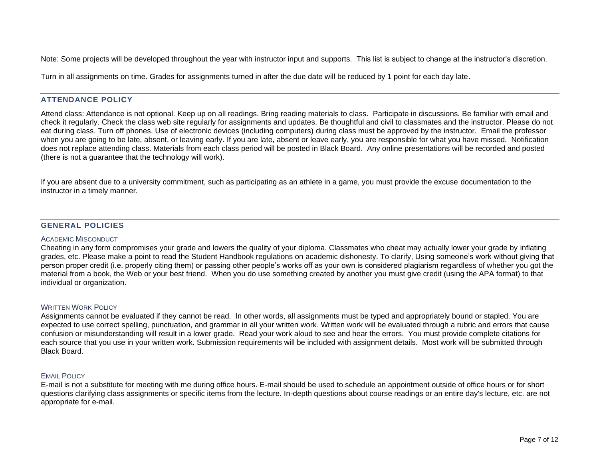Note: Some projects will be developed throughout the year with instructor input and supports. This list is subject to change at the instructor's discretion.

Turn in all assignments on time. Grades for assignments turned in after the due date will be reduced by 1 point for each day late.

### **ATTENDANCE POLICY**

Attend class: Attendance is not optional. Keep up on all readings. Bring reading materials to class. Participate in discussions. Be familiar with email and check it regularly. Check the class web site regularly for assignments and updates. Be thoughtful and civil to classmates and the instructor. Please do not eat during class. Turn off phones. Use of electronic devices (including computers) during class must be approved by the instructor. Email the professor when you are going to be late, absent, or leaving early. If you are late, absent or leave early, you are responsible for what you have missed. Notification does not replace attending class. Materials from each class period will be posted in Black Board. Any online presentations will be recorded and posted (there is not a guarantee that the technology will work).

If you are absent due to a university commitment, such as participating as an athlete in a game, you must provide the excuse documentation to the instructor in a timely manner.

## **GENERAL POLICIES**

#### ACADEMIC MISCONDUCT

Cheating in any form compromises your grade and lowers the quality of your diploma. Classmates who cheat may actually lower your grade by inflating grades, etc. Please make a point to read the Student Handbook regulations on academic dishonesty. To clarify, Using someone's work without giving that person proper credit (i.e. properly citing them) or passing other people's works off as your own is considered plagiarism regardless of whether you got the material from a book, the Web or your best friend. When you do use something created by another you must give credit (using the APA format) to that individual or organization.

#### WRITTEN WORK POLICY

Assignments cannot be evaluated if they cannot be read. In other words, all assignments must be typed and appropriately bound or stapled. You are expected to use correct spelling, punctuation, and grammar in all your written work. Written work will be evaluated through a rubric and errors that cause confusion or misunderstanding will result in a lower grade. Read your work aloud to see and hear the errors. You must provide complete citations for each source that you use in your written work. Submission requirements will be included with assignment details. Most work will be submitted through Black Board.

### EMAIL POLICY

E-mail is not a substitute for meeting with me during office hours. E-mail should be used to schedule an appointment outside of office hours or for short questions clarifying class assignments or specific items from the lecture. In-depth questions about course readings or an entire day's lecture, etc. are not appropriate for e-mail.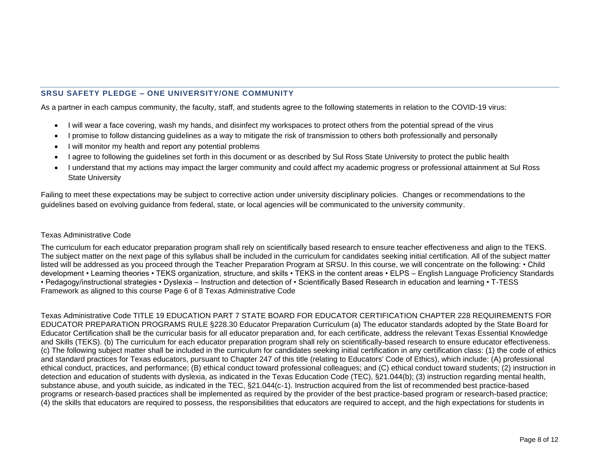# **SRSU SAFETY PLEDGE – ONE UNIVERSITY/ONE COMMUNITY**

As a partner in each campus community, the faculty, staff, and students agree to the following statements in relation to the COVID-19 virus:

- I will wear a face covering, wash my hands, and disinfect my workspaces to protect others from the potential spread of the virus
- I promise to follow distancing guidelines as a way to mitigate the risk of transmission to others both professionally and personally
- I will monitor my health and report any potential problems
- I agree to following the guidelines set forth in this document or as described by Sul Ross State University to protect the public health
- I understand that my actions may impact the larger community and could affect my academic progress or professional attainment at Sul Ross State University

Failing to meet these expectations may be subject to corrective action under university disciplinary policies. Changes or recommendations to the guidelines based on evolving guidance from federal, state, or local agencies will be communicated to the university community.

#### Texas Administrative Code

The curriculum for each educator preparation program shall rely on scientifically based research to ensure teacher effectiveness and align to the TEKS. The subject matter on the next page of this syllabus shall be included in the curriculum for candidates seeking initial certification. All of the subject matter listed will be addressed as you proceed through the Teacher Preparation Program at SRSU. In this course, we will concentrate on the following: • Child development • Learning theories • TEKS organization, structure, and skills • TEKS in the content areas • ELPS – English Language Proficiency Standards • Pedagogy/instructional strategies • Dyslexia – Instruction and detection of • Scientifically Based Research in education and learning • T-TESS Framework as aligned to this course Page 6 of 8 Texas Administrative Code

Texas Administrative Code TITLE 19 EDUCATION PART 7 STATE BOARD FOR EDUCATOR CERTIFICATION CHAPTER 228 REQUIREMENTS FOR EDUCATOR PREPARATION PROGRAMS RULE §228.30 Educator Preparation Curriculum (a) The educator standards adopted by the State Board for Educator Certification shall be the curricular basis for all educator preparation and, for each certificate, address the relevant Texas Essential Knowledge and Skills (TEKS). (b) The curriculum for each educator preparation program shall rely on scientifically-based research to ensure educator effectiveness. (c) The following subject matter shall be included in the curriculum for candidates seeking initial certification in any certification class: (1) the code of ethics and standard practices for Texas educators, pursuant to Chapter 247 of this title (relating to Educators' Code of Ethics), which include: (A) professional ethical conduct, practices, and performance; (B) ethical conduct toward professional colleagues; and (C) ethical conduct toward students; (2) instruction in detection and education of students with dyslexia, as indicated in the Texas Education Code (TEC), §21.044(b); (3) instruction regarding mental health, substance abuse, and youth suicide, as indicated in the TEC, §21.044(c-1). Instruction acquired from the list of recommended best practice-based programs or research-based practices shall be implemented as required by the provider of the best practice-based program or research-based practice; (4) the skills that educators are required to possess, the responsibilities that educators are required to accept, and the high expectations for students in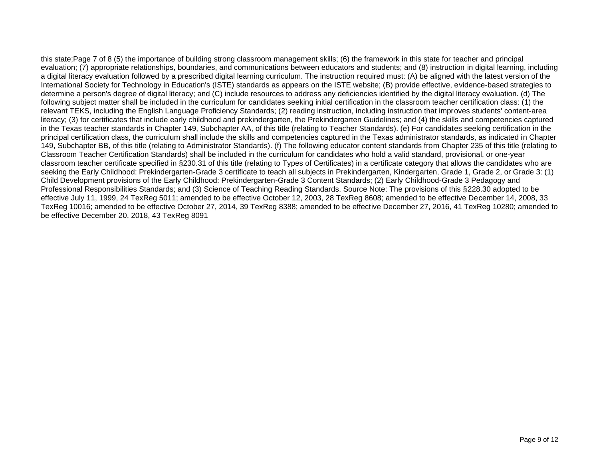this state;Page 7 of 8 (5) the importance of building strong classroom management skills; (6) the framework in this state for teacher and principal evaluation; (7) appropriate relationships, boundaries, and communications between educators and students; and (8) instruction in digital learning, including a digital literacy evaluation followed by a prescribed digital learning curriculum. The instruction required must: (A) be aligned with the latest version of the International Society for Technology in Education's (ISTE) standards as appears on the ISTE website; (B) provide effective, evidence-based strategies to determine a person's degree of digital literacy; and (C) include resources to address any deficiencies identified by the digital literacy evaluation. (d) The following subject matter shall be included in the curriculum for candidates seeking initial certification in the classroom teacher certification class: (1) the relevant TEKS, including the English Language Proficiency Standards; (2) reading instruction, including instruction that improves students' content-area literacy; (3) for certificates that include early childhood and prekindergarten, the Prekindergarten Guidelines; and (4) the skills and competencies captured in the Texas teacher standards in Chapter 149, Subchapter AA, of this title (relating to Teacher Standards). (e) For candidates seeking certification in the principal certification class, the curriculum shall include the skills and competencies captured in the Texas administrator standards, as indicated in Chapter 149, Subchapter BB, of this title (relating to Administrator Standards). (f) The following educator content standards from Chapter 235 of this title (relating to Classroom Teacher Certification Standards) shall be included in the curriculum for candidates who hold a valid standard, provisional, or one-year classroom teacher certificate specified in §230.31 of this title (relating to Types of Certificates) in a certificate category that allows the candidates who are seeking the Early Childhood: Prekindergarten-Grade 3 certificate to teach all subjects in Prekindergarten, Kindergarten, Grade 1, Grade 2, or Grade 3: (1) Child Development provisions of the Early Childhood: Prekindergarten-Grade 3 Content Standards; (2) Early Childhood-Grade 3 Pedagogy and Professional Responsibilities Standards; and (3) Science of Teaching Reading Standards. Source Note: The provisions of this §228.30 adopted to be effective July 11, 1999, 24 TexReg 5011; amended to be effective October 12, 2003, 28 TexReg 8608; amended to be effective December 14, 2008, 33 TexReg 10016; amended to be effective October 27, 2014, 39 TexReg 8388; amended to be effective December 27, 2016, 41 TexReg 10280; amended to be effective December 20, 2018, 43 TexReg 8091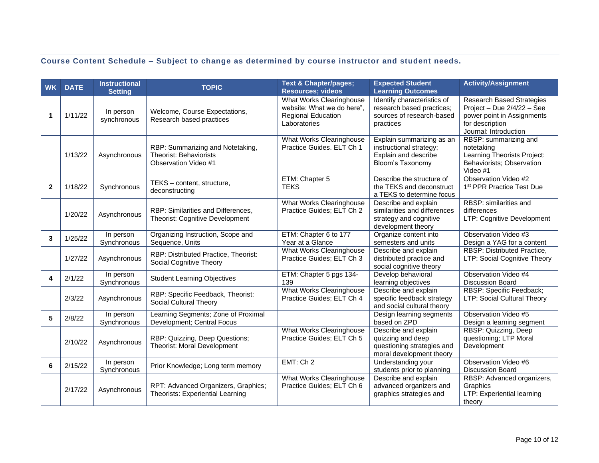# **Course Content Schedule – Subject to change as determined by course instructor and student needs.**

| <b>WK</b>    | <b>DATE</b> | <b>Instructional</b><br><b>Setting</b> | <b>TOPIC</b>                                                                              | <b>Text &amp; Chapter/pages;</b><br><b>Resources; videos</b>                                 | <b>Expected Student</b><br><b>Learning Outcomes</b>                                                  | <b>Activity/Assignment</b>                                                                                                        |
|--------------|-------------|----------------------------------------|-------------------------------------------------------------------------------------------|----------------------------------------------------------------------------------------------|------------------------------------------------------------------------------------------------------|-----------------------------------------------------------------------------------------------------------------------------------|
| 1            | 1/11/22     | In person<br>synchronous               | Welcome, Course Expectations,<br>Research based practices                                 | What Works Clearinghouse<br>website: What we do here",<br>Regional Education<br>Laboratories | Identify characteristics of<br>research based practices;<br>sources of research-based<br>practices   | Research Based Strategies<br>Project - Due 2/4/22 - See<br>power point in Assignments<br>for description<br>Journal: Introduction |
|              | 1/13/22     | Asynchronous                           | RBP: Summarizing and Notetaking,<br><b>Theorist: Behaviorists</b><br>Observation Video #1 | What Works Clearinghouse<br>Practice Guides. ELT Ch 1                                        | Explain summarizing as an<br>instructional strategy;<br>Explain and describe<br>Bloom's Taxonomy     | RBSP: summarizing and<br>notetaking<br>Learning Theorists Project:<br>Behaviorists; Observation<br>Video #1                       |
| $\mathbf{2}$ | 1/18/22     | Synchronous                            | TEKS - content, structure,<br>deconstructing                                              | ETM: Chapter 5<br><b>TEKS</b>                                                                | Describe the structure of<br>the TEKS and deconstruct<br>a TEKS to determine focus                   | Observation Video #2<br>1 <sup>st</sup> PPR Practice Test Due                                                                     |
|              | 1/20/22     | Asynchronous                           | RBP: Similarities and Differences,<br>Theorist: Cognitive Development                     | <b>What Works Clearinghouse</b><br>Practice Guides; ELT Ch 2                                 | Describe and explain<br>similarities and differences<br>strategy and cognitive<br>development theory | RBSP: similarities and<br>differences<br>LTP: Cognitive Development                                                               |
| 3            | 1/25/22     | In person<br>Synchronous               | Organizing Instruction, Scope and<br>Sequence, Units                                      | ETM: Chapter 6 to 177<br>Year at a Glance                                                    | Organize content into<br>semesters and units                                                         | Observation Video #3<br>Design a YAG for a content                                                                                |
|              | 1/27/22     | Asynchronous                           | RBP: Distributed Practice, Theorist:<br>Social Cognitive Theory                           | <b>What Works Clearinghouse</b><br>Practice Guides; ELT Ch 3                                 | Describe and explain<br>distributed practice and<br>social cognitive theory                          | RBSP: Distributed Practice,<br>LTP: Social Cognitive Theory                                                                       |
| 4            | 2/1/22      | In person<br>Synchronous               | <b>Student Learning Objectives</b>                                                        | ETM: Chapter 5 pgs 134-<br>139                                                               | Develop behavioral<br>learning objectives                                                            | Observation Video #4<br><b>Discussion Board</b>                                                                                   |
|              | 2/3/22      | Asynchronous                           | RBP: Specific Feedback, Theorist:<br>Social Cultural Theory                               | <b>What Works Clearinghouse</b><br>Practice Guides; ELT Ch 4                                 | Describe and explain<br>specific feedback strategy<br>and social cultural theory                     | RBSP: Specific Feedback;<br>LTP: Social Cultural Theory                                                                           |
| 5            | 2/8/22      | In person<br>Synchronous               | Learning Segments; Zone of Proximal<br>Development; Central Focus                         |                                                                                              | Design learning segments<br>based on ZPD                                                             | Observation Video #5<br>Design a learning segment                                                                                 |
|              | 2/10/22     | Asynchronous                           | RBP: Quizzing, Deep Questions;<br><b>Theorist: Moral Development</b>                      | <b>What Works Clearinghouse</b><br>Practice Guides; ELT Ch 5                                 | Describe and explain<br>quizzing and deep<br>questioning strategies and<br>moral development theory  | RBSP: Quizzing, Deep<br>questioning; LTP Moral<br>Development                                                                     |
| 6            | 2/15/22     | In person<br>Synchronous               | Prior Knowledge; Long term memory                                                         | EMT: Ch 2                                                                                    | Understanding your<br>students prior to planning                                                     | Observation Video #6<br><b>Discussion Board</b>                                                                                   |
|              | 2/17/22     | Asynchronous                           | RPT: Advanced Organizers, Graphics;<br><b>Theorists: Experiential Learning</b>            | What Works Clearinghouse<br>Practice Guides; ELT Ch 6                                        | Describe and explain<br>advanced organizers and<br>graphics strategies and                           | RBSP: Advanced organizers,<br>Graphics<br>LTP: Experiential learning<br>theory                                                    |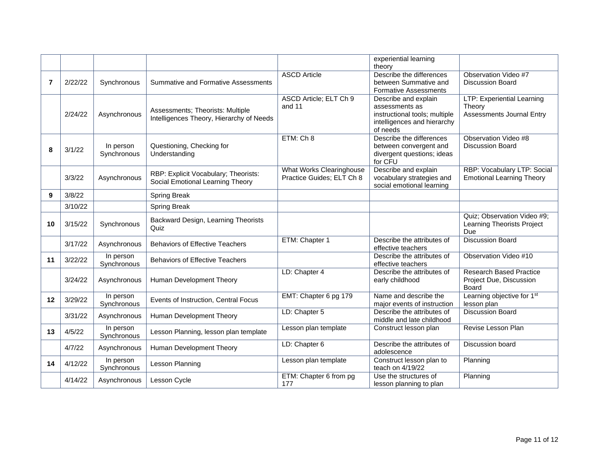|    |         |                          |                                                                              |                                                              | experiential learning<br>theory                                                                                    |                                                                          |
|----|---------|--------------------------|------------------------------------------------------------------------------|--------------------------------------------------------------|--------------------------------------------------------------------------------------------------------------------|--------------------------------------------------------------------------|
| 7  | 2/22/22 | Synchronous              | <b>Summative and Formative Assessments</b>                                   | <b>ASCD Article</b>                                          | Describe the differences<br>between Summative and<br><b>Formative Assessments</b>                                  | Observation Video #7<br><b>Discussion Board</b>                          |
|    | 2/24/22 | Asynchronous             | Assessments; Theorists: Multiple<br>Intelligences Theory, Hierarchy of Needs | ASCD Article; ELT Ch 9<br>and 11                             | Describe and explain<br>assessments as<br>instructional tools; multiple<br>intelligences and hierarchy<br>of needs | LTP: Experiential Learning<br>Theory<br><b>Assessments Journal Entry</b> |
| 8  | 3/1/22  | In person<br>Synchronous | Questioning, Checking for<br>Understanding                                   | ETM: Ch 8                                                    | Describe the differences<br>between convergent and<br>divergent questions; ideas<br>for CFU                        | Observation Video #8<br>Discussion Board                                 |
|    | 3/3/22  | Asynchronous             | RBP: Explicit Vocabulary; Theorists:<br>Social Emotional Learning Theory     | <b>What Works Clearinghouse</b><br>Practice Guides; ELT Ch 8 | Describe and explain<br>vocabulary strategies and<br>social emotional learning                                     | RBP: Vocabulary LTP: Social<br><b>Emotional Learning Theory</b>          |
| 9  | 3/8/22  |                          | Spring Break                                                                 |                                                              |                                                                                                                    |                                                                          |
|    | 3/10/22 |                          | Spring Break                                                                 |                                                              |                                                                                                                    |                                                                          |
| 10 | 3/15/22 | Synchronous              | Backward Design, Learning Theorists<br>Quiz                                  |                                                              |                                                                                                                    | Quiz; Observation Video #9;<br>Learning Theorists Project<br>Due         |
|    | 3/17/22 | Asynchronous             | <b>Behaviors of Effective Teachers</b>                                       | ETM: Chapter 1                                               | Describe the attributes of<br>effective teachers                                                                   | <b>Discussion Board</b>                                                  |
| 11 | 3/22/22 | In person<br>Synchronous | <b>Behaviors of Effective Teachers</b>                                       |                                                              | Describe the attributes of<br>effective teachers                                                                   | Observation Video #10                                                    |
|    | 3/24/22 | Asynchronous             | Human Development Theory                                                     | LD: Chapter 4                                                | Describe the attributes of<br>early childhood                                                                      | <b>Research Based Practice</b><br>Project Due, Discussion<br>Board       |
| 12 | 3/29/22 | In person<br>Synchronous | Events of Instruction, Central Focus                                         | EMT: Chapter 6 pg 179                                        | Name and describe the<br>major events of instruction                                                               | Learning objective for 1 <sup>st</sup><br>lesson plan                    |
|    | 3/31/22 | Asynchronous             | Human Development Theory                                                     | LD: Chapter 5                                                | Describe the attributes of<br>middle and late childhood                                                            | <b>Discussion Board</b>                                                  |
| 13 | 4/5/22  | In person<br>Synchronous | Lesson Planning, lesson plan template                                        | Lesson plan template                                         | Construct lesson plan                                                                                              | Revise Lesson Plan                                                       |
|    | 4/7/22  | Asynchronous             | Human Development Theory                                                     | LD: Chapter 6                                                | Describe the attributes of<br>adolescence                                                                          | Discussion board                                                         |
| 14 | 4/12/22 | In person<br>Synchronous | Lesson Planning                                                              | Lesson plan template                                         | Construct lesson plan to<br>teach on 4/19/22                                                                       | Planning                                                                 |
|    | 4/14/22 | Asynchronous             | Lesson Cycle                                                                 | ETM: Chapter 6 from pg<br>177                                | Use the structures of<br>lesson planning to plan                                                                   | Planning                                                                 |